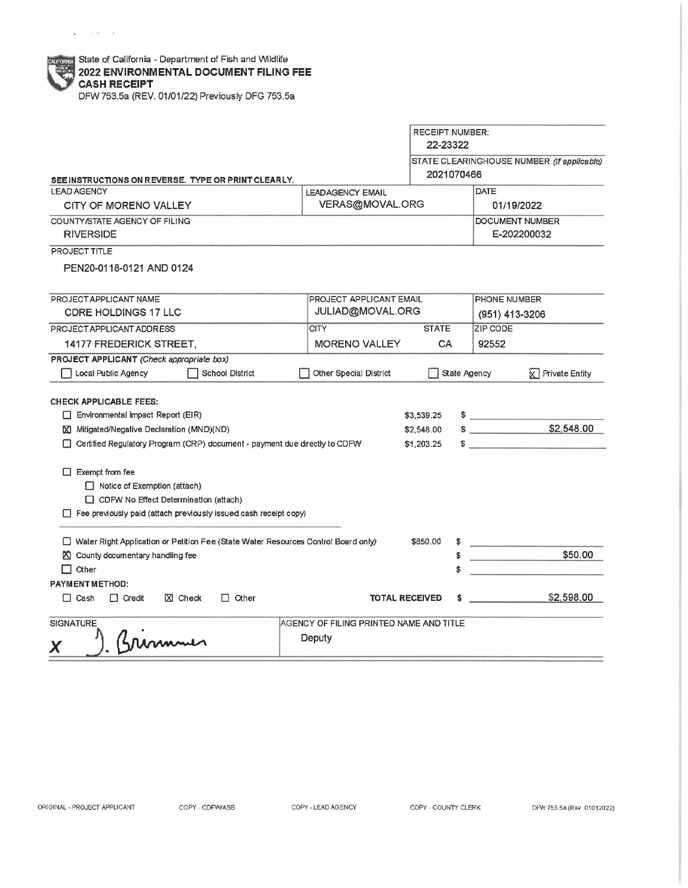$\mathbf{r}(\mathbf{r}) = \mathbf{r}(\mathbf{r}) = \mathbf{r}(\mathbf{r})$ 

|                                                                                                                  |                                         | <b>RECEIPT NUMBER:</b><br>22-23322 | STATE CLEARINGHOUSE NUMBER (If applicable)<br>2021070466 |  |  |  |
|------------------------------------------------------------------------------------------------------------------|-----------------------------------------|------------------------------------|----------------------------------------------------------|--|--|--|
| SEE INSTRUCTIONS ON REVERSE. TYPE OR PRINT CLEARLY.                                                              |                                         |                                    |                                                          |  |  |  |
| <b>LEAD AGENCY</b>                                                                                               | <b>LEADAGENCY EMAIL</b>                 |                                    | DATE                                                     |  |  |  |
| CITY OF MORENO VALLEY                                                                                            | VERAS@MOVAL.ORG                         |                                    | 01/19/2022                                               |  |  |  |
| COUNTY/STATE AGENCY OF FILING                                                                                    |                                         |                                    | DOCUMENT NUMBER                                          |  |  |  |
| <b>RIVERSIDE</b>                                                                                                 |                                         |                                    | E-202200032                                              |  |  |  |
| PROJECT TITLE                                                                                                    |                                         |                                    |                                                          |  |  |  |
| PEN20-0118-0121 AND 0124                                                                                         |                                         |                                    |                                                          |  |  |  |
| PROJECT APPLICANT NAME                                                                                           | PROJECT APPLICANT EMAIL                 |                                    | PHONE NUMBER                                             |  |  |  |
| <b>CDRE HOLDINGS 17 LLC</b>                                                                                      | JULIAD@MOVAL.ORG                        |                                    | (951) 413-3206                                           |  |  |  |
| PROJECT APPLICANT ADDRESS                                                                                        | <b>CITY</b>                             | <b>STATE</b>                       | ZIP CODE                                                 |  |  |  |
| 14177 FREDERICK STREET,                                                                                          | <b>MORENO VALLEY</b>                    | CA                                 | 92552                                                    |  |  |  |
| PROJECT APPLICANT (Check appropriate box)<br>Local Public Agency<br><b>School District</b>                       | Other Special District                  |                                    | State Agency<br>Private Entity<br>k۱                     |  |  |  |
| <b>CHECK APPLICABLE FEES:</b>                                                                                    |                                         |                                    |                                                          |  |  |  |
| Environmental Impact Report (EIR)                                                                                |                                         | \$3,539.25                         | $\sim$                                                   |  |  |  |
| <b>X</b> Mitigated/Negative Declaration (MND)(ND)                                                                |                                         | \$2,548.00                         | \$2,548.00<br>$\sim$                                     |  |  |  |
| □ Certified Regulatory Program (CRP) document - payment due directly to CDFW                                     |                                         | \$1,203.25                         | $\sim$                                                   |  |  |  |
| $\Box$ Exempt from fee                                                                                           |                                         |                                    |                                                          |  |  |  |
| Notice of Exemption (attach)                                                                                     |                                         |                                    |                                                          |  |  |  |
| CDFW No Effect Determination (attach)<br>$\Box$ Fee previously paid (attach previously issued cash receipt copy) |                                         |                                    |                                                          |  |  |  |
|                                                                                                                  |                                         |                                    |                                                          |  |  |  |
| Water Right Application or Petition Fee (State Water Resources Control Board only)                               |                                         | \$850.00                           | <b>Construction Construction</b>                         |  |  |  |
| ◯ County documentary handling fee                                                                                |                                         |                                    | \$50.00                                                  |  |  |  |
| $\Box$ Other                                                                                                     |                                         |                                    |                                                          |  |  |  |
| <b>PAYMENT METHOD:</b>                                                                                           |                                         |                                    |                                                          |  |  |  |
| $\Box$ Credit<br>X Check<br>$\Box$ Other<br>$\Box$ Cash                                                          | <b>TOTAL RECEIVED</b>                   |                                    | \$2,598.00<br>والمواسط والمستحق                          |  |  |  |
| <b>SIGNATURE</b>                                                                                                 | AGENCY OF FILING PRINTED NAME AND TITLE |                                    |                                                          |  |  |  |
| Brimmun                                                                                                          | Deputy                                  |                                    |                                                          |  |  |  |
|                                                                                                                  |                                         |                                    |                                                          |  |  |  |

COPY - LEAD AGENCY COPY - COUNTY CLERK